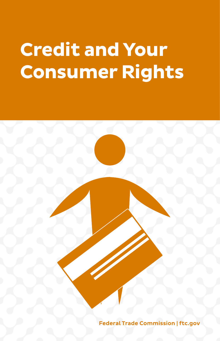# **Credit and Your Consumer Rights**

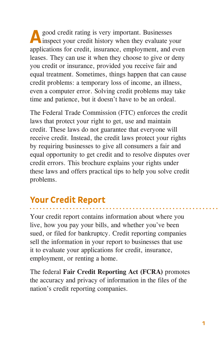A good credit rating is very important. Businesses inspect your credit history when they evaluate your applications for credit, insurance, employment, and even leases. They can use it when they choose to give or deny you credit or insurance, provided you receive fair and equal treatment. Sometimes, things happen that can cause credit problems: a temporary loss of income, an illness, even a computer error. Solving credit problems may take time and patience, but it doesn't have to be an ordeal.

The Federal Trade Commission (FTC) enforces the credit laws that protect your right to get, use and maintain credit. These laws do not guarantee that everyone will receive credit. Instead, the credit laws protect your rights by requiring businesses to give all consumers a fair and equal opportunity to get credit and to resolve disputes over credit errors. This brochure explains your rights under these laws and offers practical tips to help you solve credit problems.

#### **Your Credit Report**

Your credit report contains information about where you live, how you pay your bills, and whether you've been sued, or filed for bankruptcy. Credit reporting companies sell the information in your report to businesses that use it to evaluate your applications for credit, insurance, employment, or renting a home.

The federal **Fair Credit Reporting Act (FCRA)** promotes the accuracy and privacy of information in the files of the nation's credit reporting companies.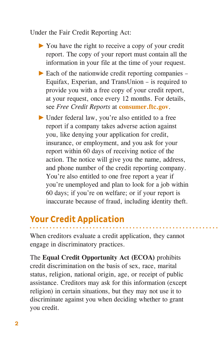Under the Fair Credit Reporting Act:

- ► You have the right to receive a copy of your credit report. The copy of your report must contain all the information in your file at the time of your request.
- $\triangleright$  Each of the nationwide credit reporting companies Equifax, Experian, and TransUnion – is required to provide you with a free copy of your credit report, at your request, once every 12 months. For details, see *Free Credit Reports* at **<consumer.ftc.gov>**.
- ► Under federal law, you're also entitled to a free report if a company takes adverse action against you, like denying your application for credit, insurance, or employment, and you ask for your report within 60 days of receiving notice of the action. The notice will give you the name, address, and phone number of the credit reporting company. You're also entitled to one free report a year if you're unemployed and plan to look for a job within 60 days; if you're on welfare; or if your report is inaccurate because of fraud, including identity theft.

#### **Your Credit Application**

When creditors evaluate a credit application, they cannot engage in discriminatory practices.

The **Equal Credit Opportunity Act (ECOA)** prohibits credit discrimination on the basis of sex, race, marital status, religion, national origin, age, or receipt of public assistance. Creditors may ask for this information (except religion) in certain situations, but they may not use it to discriminate against you when deciding whether to grant you credit.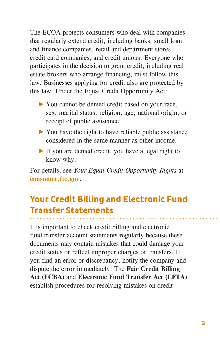The ECOA protects consumers who deal with companies that regularly extend credit, including banks, small loan and finance companies, retail and department stores, credit card companies, and credit unions. Everyone who participates in the decision to grant credit, including real estate brokers who arrange financing, must follow this law. Businesses applying for credit also are protected by this law. Under the Equal Credit Opportunity Act:

- ► You cannot be denied credit based on your race, sex, marital status, religion, age, national origin, or receipt of public assistance.
- ► You have the right to have reliable public assistance considered in the same manner as other income.
- $\triangleright$  If you are denied credit, you have a legal right to know why.

For details, see *Your Equal Credit Opportunity Rights* at **<consumer.ftc.gov>**.

#### **Your Credit Billing and Electronic Fund Transfer Statements**

It is important to check credit billing and electronic fund transfer account statements regularly because these documents may contain mistakes that could damage your credit status or reflect improper charges or transfers. If you find an error or discrepancy, notify the company and dispute the error immediately. The **Fair Credit Billing Act (FCBA)** and **Electronic Fund Transfer Act (EFTA)** establish procedures for resolving mistakes on credit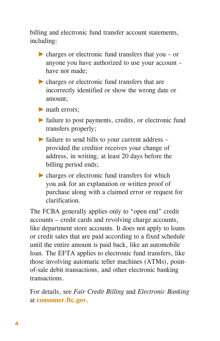billing and electronic fund transfer account statements, including:

- $\triangleright$  charges or electronic fund transfers that you or anyone you have authorized to use your account – have not made;
- ► charges or electronic fund transfers that are incorrectly identified or show the wrong date or amount;
- ► math errors;
- ► failure to post payments, credits, or electronic fund transfers properly;
- ► failure to send bills to your current address provided the creditor receives your change of address, in writing, at least 20 days before the billing period ends;
- $\triangleright$  charges or electronic fund transfers for which you ask for an explanation or written proof of purchase along with a claimed error or request for clarification.

The FCBA generally applies only to "open end" credit accounts – credit cards and revolving charge accounts, like department store accounts. It does not apply to loans or credit sales that are paid according to a fixed schedule until the entire amount is paid back, like an automobile loan. The EFTA applies to electronic fund transfers, like those involving automatic teller machines (ATMs), pointof-sale debit transactions, and other electronic banking transactions.

For details, see *Fair Credit Billing* and *Electronic Banking*  at **<consumer.ftc.gov>**.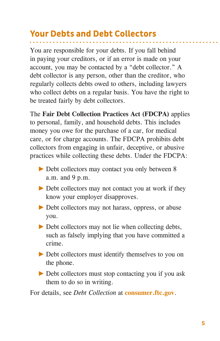### **Your Debts and Debt Collectors**

You are responsible for your debts. If you fall behind in paying your creditors, or if an error is made on your account, you may be contacted by a "debt collector." A debt collector is any person, other than the creditor, who regularly collects debts owed to others, including lawyers who collect debts on a regular basis. You have the right to be treated fairly by debt collectors.

The **Fair Debt Collection Practices Act (FDCPA)** applies to personal, family, and household debts. This includes money you owe for the purchase of a car, for medical care, or for charge accounts. The FDCPA prohibits debt collectors from engaging in unfair, deceptive, or abusive practices while collecting these debts. Under the FDCPA:

- ► Debt collectors may contact you only between 8 a.m. and 9 p.m.
- ► Debt collectors may not contact you at work if they know your employer disapproves.
- ► Debt collectors may not harass, oppress, or abuse you.
- ► Debt collectors may not lie when collecting debts, such as falsely implying that you have committed a crime.
- ► Debt collectors must identify themselves to you on the phone.
- ► Debt collectors must stop contacting you if you ask them to do so in writing.

For details, see *Debt Collection* at **<consumer.ftc.gov>**.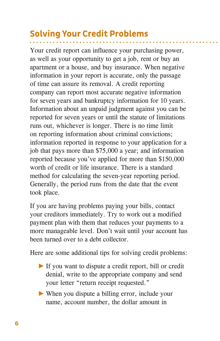## **Solving Your Credit Problems**

Your credit report can influence your purchasing power, as well as your opportunity to get a job, rent or buy an apartment or a house, and buy insurance. When negative information in your report is accurate, only the passage of time can assure its removal. A credit reporting company can report most accurate negative information for seven years and bankruptcy information for 10 years. Information about an unpaid judgment against you can be reported for seven years or until the statute of limitations runs out, whichever is longer. There is no time limit on reporting information about criminal convictions; information reported in response to your application for a job that pays more than \$75,000 a year; and information reported because you've applied for more than \$150,000 worth of credit or life insurance. There is a standard method for calculating the seven-year reporting period. Generally, the period runs from the date that the event took place.

If you are having problems paying your bills, contact your creditors immediately. Try to work out a modified payment plan with them that reduces your payments to a more manageable level. Don't wait until your account has been turned over to a debt collector.

Here are some additional tips for solving credit problems:

- ► If you want to dispute a credit report, bill or credit denial, write to the appropriate company and send your letter "return receipt requested."
- ► When you dispute a billing error, include your name, account number, the dollar amount in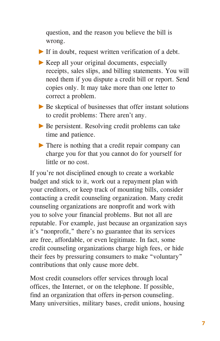question, and the reason you believe the bill is wrong.

- $\blacktriangleright$  If in doubt, request written verification of a debt.
- ► Keep all your original documents, especially receipts, sales slips, and billing statements. You will need them if you dispute a credit bill or report. Send copies only. It may take more than one letter to correct a problem.
- ► Be skeptical of businesses that offer instant solutions to credit problems: There aren't any.
- ► Be persistent. Resolving credit problems can take time and patience.
- $\triangleright$  There is nothing that a credit repair company can charge you for that you cannot do for yourself for little or no cost.

If you're not disciplined enough to create a workable budget and stick to it, work out a repayment plan with your creditors, or keep track of mounting bills, consider contacting a credit counseling organization. Many credit counseling organizations are nonprofit and work with you to solve your financial problems. But not all are reputable. For example, just because an organization says it's "nonprofit," there's no guarantee that its services are free, affordable, or even legitimate. In fact, some credit counseling organizations charge high fees, or hide their fees by pressuring consumers to make "voluntary" contributions that only cause more debt.

Most credit counselors offer services through local offices, the Internet, or on the telephone. If possible, find an organization that offers in-person counseling. Many universities, military bases, credit unions, housing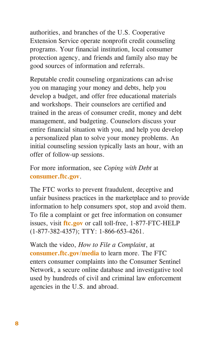authorities, and branches of the U.S. Cooperative Extension Service operate nonprofit credit counseling programs. Your financial institution, local consumer protection agency, and friends and family also may be good sources of information and referrals.

Reputable credit counseling organizations can advise you on managing your money and debts, help you develop a budget, and offer free educational materials and workshops. Their counselors are certified and trained in the areas of consumer credit, money and debt management, and budgeting. Counselors discuss your entire financial situation with you, and help you develop a personalized plan to solve your money problems. An initial counseling session typically lasts an hour, with an offer of follow-up sessions.

For more information, see *Coping with Debt* at **<consumer.ftc.gov>**.

The FTC works to prevent fraudulent, deceptive and unfair business practices in the marketplace and to provide information to help consumers spot, stop and avoid them. To file a complaint or get free information on consumer issues, visit **ftc.gov** or call toll-free, 1-877-FTC-HELP (1-877-382-4357); TTY: 1-866-653-4261.

Watch the video, *How to File a Complaint*, at **[consumer.ftc.gov/media](ftc.gov/video)** to learn more. The FTC enters consumer complaints into the Consumer Sentinel Network, a secure online database and investigative tool used by hundreds of civil and criminal law enforcement agencies in the U.S. and abroad.